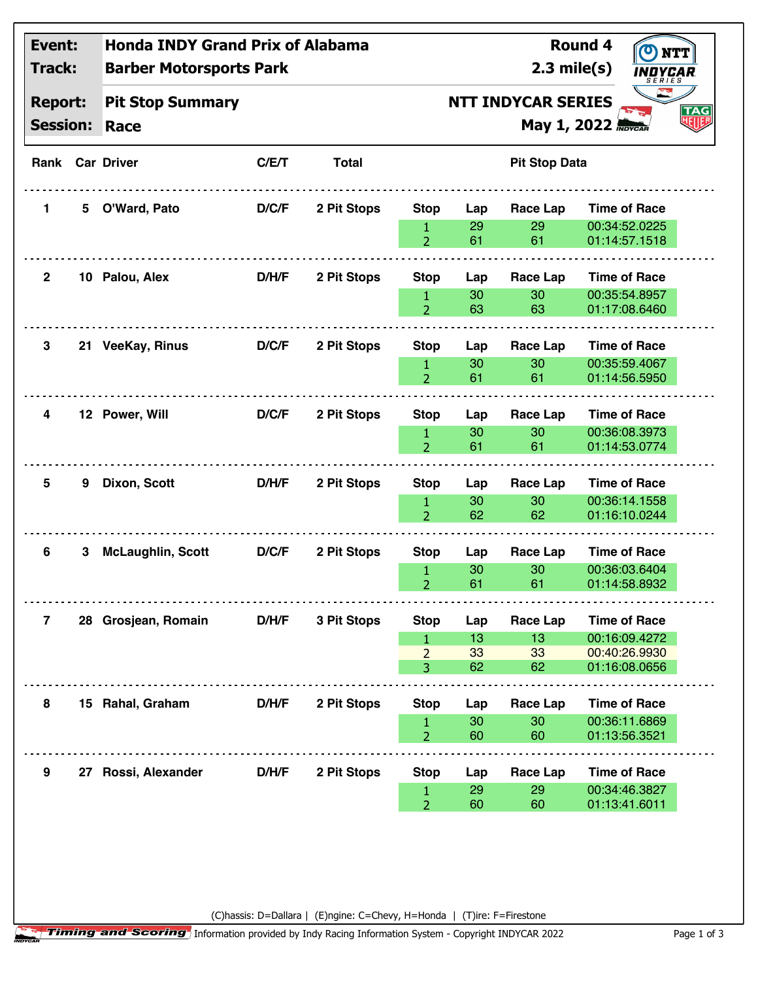| Event:<br>Track:<br><b>Report:</b><br><b>Session:</b> |    | <b>Honda INDY Grand Prix of Alabama</b><br><b>Barber Motorsports Park</b> |       |              |                                                                             |                       | $2.3$ mile(s)               | <b>Round 4</b><br>$\bullet$<br>NTT<br>INDYCAR<br>SERIES                |  |
|-------------------------------------------------------|----|---------------------------------------------------------------------------|-------|--------------|-----------------------------------------------------------------------------|-----------------------|-----------------------------|------------------------------------------------------------------------|--|
|                                                       |    | <b>Pit Stop Summary</b><br>Race                                           |       |              | <b>NTT INDYCAR SERIES</b><br><b>TAG</b><br>NUB<br><b>May 1, 2022 Maycar</b> |                       |                             |                                                                        |  |
|                                                       |    | <b>Rank Car Driver</b>                                                    | C/E/T | <b>Total</b> |                                                                             |                       | <b>Pit Stop Data</b>        |                                                                        |  |
| 1                                                     | 5. | O'Ward, Pato                                                              | D/C/F | 2 Pit Stops  | <b>Stop</b><br>1<br>$\overline{2}$                                          | Lap<br>29<br>61       | Race Lap<br>29<br>61        | <b>Time of Race</b><br>00:34:52.0225<br>01:14:57.1518                  |  |
| $\mathbf{2}$                                          |    | 10 Palou, Alex                                                            | D/H/F | 2 Pit Stops  | <b>Stop</b><br>1<br>$\overline{2}$                                          | Lap<br>30<br>63       | Race Lap<br>30<br>63        | <b>Time of Race</b><br>00:35:54.8957<br>01:17:08.6460                  |  |
| 3                                                     |    | 21 VeeKay, Rinus                                                          | D/C/F | 2 Pit Stops  | <b>Stop</b><br>1<br>$\overline{2}$                                          | Lap<br>30<br>61       | Race Lap<br>30<br>61        | <b>Time of Race</b><br>00:35:59.4067<br>01:14:56.5950                  |  |
| 4                                                     |    | 12 Power, Will                                                            | D/C/F | 2 Pit Stops  | <b>Stop</b><br>1<br>$\overline{2}$                                          | Lap<br>30<br>61       | <b>Race Lap</b><br>30<br>61 | <b>Time of Race</b><br>00:36:08.3973<br>01:14:53.0774                  |  |
| 5                                                     | 9  | Dixon, Scott                                                              | D/H/F | 2 Pit Stops  | <b>Stop</b><br>$\mathbf{1}$<br>$\overline{2}$                               | Lap<br>30<br>62       | Race Lap<br>30<br>62        | <b>Time of Race</b><br>00:36:14.1558<br>01:16:10.0244                  |  |
| 6                                                     | 3  | <b>McLaughlin, Scott</b>                                                  | D/C/F | 2 Pit Stops  | <b>Stop</b><br>1<br>$\overline{2}$                                          | Lap<br>30<br>61       | Race Lap<br>30<br>61        | <b>Time of Race</b><br>00:36:03.6404<br>01:14:58.8932                  |  |
| $\mathbf{7}$                                          |    | 28 Grosjean, Romain                                                       | D/H/F | 3 Pit Stops  | <b>Stop</b><br>1.<br>$\overline{2}$<br>$\overline{3}$                       | Lap<br>13<br>33<br>62 | Race Lap<br>13<br>33<br>62  | <b>Time of Race</b><br>00:16:09.4272<br>00:40:26.9930<br>01:16:08.0656 |  |
| 8                                                     |    | 15 Rahal, Graham                                                          | D/H/F | 2 Pit Stops  | <b>Stop</b><br>1<br>$\overline{2}$                                          | Lap<br>30<br>60       | <b>Race Lap</b><br>30<br>60 | <b>Time of Race</b><br>00:36:11.6869<br>01:13:56.3521                  |  |
| 9                                                     |    | 27 Rossi, Alexander                                                       | D/H/F | 2 Pit Stops  | <b>Stop</b><br>1<br>$\overline{2}$                                          | Lap<br>29<br>60       | <b>Race Lap</b><br>29<br>60 | <b>Time of Race</b><br>00:34:46.3827<br>01:13:41.6011                  |  |

(C)hassis: D=Dallara | (E)ngine: C=Chevy, H=Honda | (T)ire: F=Firestone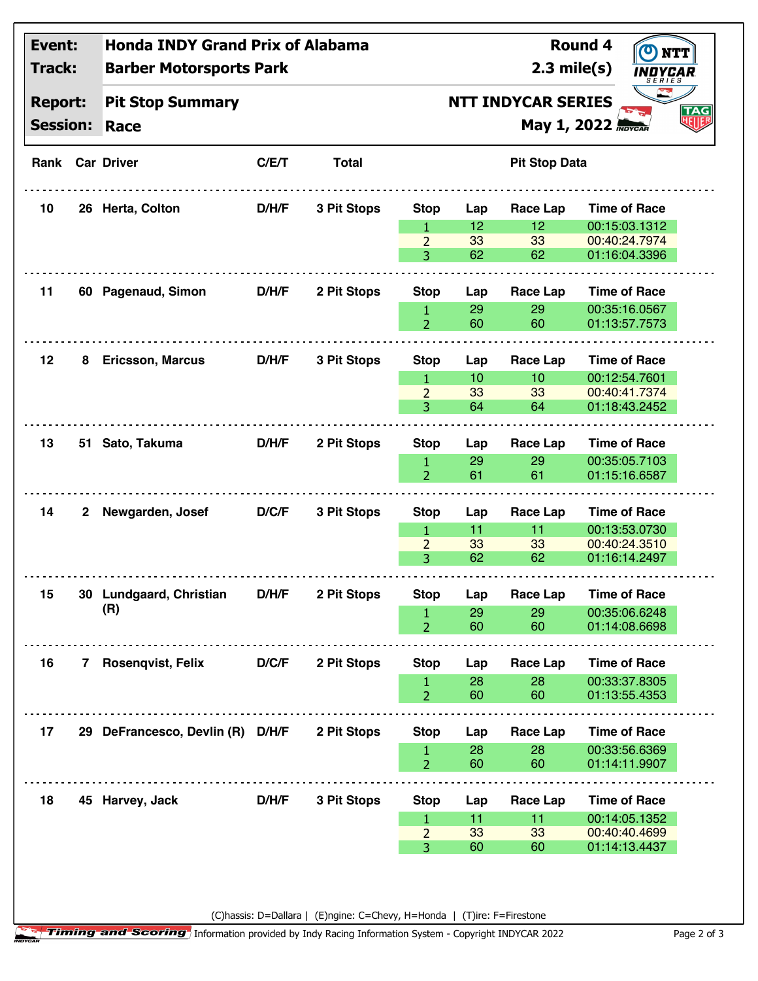| Event:<br><b>Track:</b><br><b>Report:</b><br><b>Session:</b> |   | <b>Honda INDY Grand Prix of Alabama</b><br><b>Barber Motorsports Park</b> |       |              |                                                                            |                 | $2.3$ mile(s)        | <b>Round 4</b> | INDYCAR<br>SERIES              |  |
|--------------------------------------------------------------|---|---------------------------------------------------------------------------|-------|--------------|----------------------------------------------------------------------------|-----------------|----------------------|----------------|--------------------------------|--|
|                                                              |   | <b>Pit Stop Summary</b><br>Race                                           |       |              | <b>NTT INDYCAR SERIES</b><br><b>TAG</b><br>如既<br><b>May 1, 2022 Maycar</b> |                 |                      |                |                                |  |
|                                                              |   | <b>Rank Car Driver</b>                                                    | C/E/T | <b>Total</b> |                                                                            |                 | <b>Pit Stop Data</b> |                |                                |  |
| 10                                                           |   | 26 Herta, Colton                                                          | D/H/F | 3 Pit Stops  | <b>Stop</b>                                                                | Lap             | Race Lap             |                | <b>Time of Race</b>            |  |
|                                                              |   |                                                                           |       |              | $\mathbf{1}$                                                               | 12              | 12                   |                | 00:15:03.1312                  |  |
|                                                              |   |                                                                           |       |              | $\overline{2}$                                                             | 33              | 33                   |                | 00:40:24.7974                  |  |
|                                                              |   |                                                                           |       |              | 3.                                                                         | 62              | 62                   |                | 01:16:04.3396                  |  |
| 11                                                           |   | 60 Pagenaud, Simon                                                        | D/H/F | 2 Pit Stops  | <b>Stop</b>                                                                | Lap             | Race Lap             |                | <b>Time of Race</b>            |  |
|                                                              |   |                                                                           |       |              | 1                                                                          | 29              | 29                   |                | 00:35:16.0567                  |  |
|                                                              |   |                                                                           |       |              | $\overline{2}$                                                             | 60              | 60                   |                | 01:13:57.7573                  |  |
| 12                                                           | 8 | <b>Ericsson, Marcus</b>                                                   | D/H/F | 3 Pit Stops  | <b>Stop</b>                                                                | Lap             | <b>Race Lap</b>      |                | <b>Time of Race</b>            |  |
|                                                              |   |                                                                           |       |              | 1.                                                                         | 10 <sup>°</sup> | 10                   |                | 00:12:54.7601                  |  |
|                                                              |   |                                                                           |       |              | $\overline{2}$                                                             | 33              | 33                   |                | 00:40:41.7374                  |  |
|                                                              |   |                                                                           |       |              | 3                                                                          | 64              | 64                   |                | 01:18:43.2452                  |  |
| 13                                                           |   | 51 Sato, Takuma                                                           | D/H/F | 2 Pit Stops  | <b>Stop</b>                                                                | Lap             | Race Lap             |                | <b>Time of Race</b>            |  |
|                                                              |   |                                                                           |       |              | $\mathbf{1}$                                                               | 29              | 29                   |                | 00:35:05.7103                  |  |
|                                                              |   |                                                                           |       |              | $\overline{2}$                                                             | 61              | 61                   |                | 01:15:16.6587                  |  |
| 14                                                           | 2 | Newgarden, Josef                                                          | D/C/F | 3 Pit Stops  | <b>Stop</b>                                                                | Lap             | <b>Race Lap</b>      |                | <b>Time of Race</b>            |  |
|                                                              |   |                                                                           |       |              | $\mathbf{1}$                                                               | 11              | 11                   |                | 00:13:53.0730                  |  |
|                                                              |   |                                                                           |       |              | $\overline{2}$                                                             | 33              | 33                   |                | 00:40:24.3510                  |  |
|                                                              |   |                                                                           |       |              | 3                                                                          | 62              | 62                   |                | 01:16:14.2497                  |  |
| 15                                                           |   | 30 Lundgaard, Christian                                                   | D/H/F | 2 Pit Stops  | <b>Stop</b>                                                                | Lap             | <b>Race Lap</b>      |                | <b>Time of Race</b>            |  |
|                                                              |   | (R)                                                                       |       |              | 1                                                                          | 29              | 29                   |                | 00:35:06.6248                  |  |
|                                                              |   |                                                                           |       |              | $\overline{2}$                                                             | 60              | 60                   |                | 01:14:08.6698                  |  |
| 16                                                           | 7 | <b>Rosenqvist, Felix</b>                                                  | D/C/F | 2 Pit Stops  | <b>Stop</b>                                                                | Lap             | <b>Race Lap</b>      |                | <b>Time of Race</b>            |  |
|                                                              |   |                                                                           |       |              |                                                                            | 28              | 28                   |                | 00:33:37.8305                  |  |
|                                                              |   |                                                                           |       |              | 1<br>$\overline{2}$                                                        | 60              | 60                   |                | 01:13:55.4353                  |  |
|                                                              |   |                                                                           |       |              |                                                                            |                 |                      |                |                                |  |
| 17                                                           |   | 29 DeFrancesco, Devlin (R) D/H/F                                          |       | 2 Pit Stops  | <b>Stop</b>                                                                | Lap             | Race Lap             |                | <b>Time of Race</b>            |  |
|                                                              |   |                                                                           |       |              | $\mathbf{1}$<br>$\overline{2}$                                             | 28<br>60        | 28<br>60             |                | 00:33:56.6369<br>01:14:11.9907 |  |
|                                                              |   |                                                                           |       |              |                                                                            |                 |                      |                |                                |  |
| 18                                                           |   | 45 Harvey, Jack                                                           | D/H/F | 3 Pit Stops  | <b>Stop</b>                                                                | Lap             | Race Lap             |                | <b>Time of Race</b>            |  |
|                                                              |   |                                                                           |       |              | 1                                                                          | 11              | 11                   |                | 00:14:05.1352                  |  |
|                                                              |   |                                                                           |       |              | $\overline{2}$                                                             | 33              | 33                   |                | 00:40:40.4699                  |  |
|                                                              |   |                                                                           |       |              | 3                                                                          | 60              | 60                   |                | 01:14:13.4437                  |  |

(C)hassis: D=Dallara | (E)ngine: C=Chevy, H=Honda | (T)ire: F=Firestone